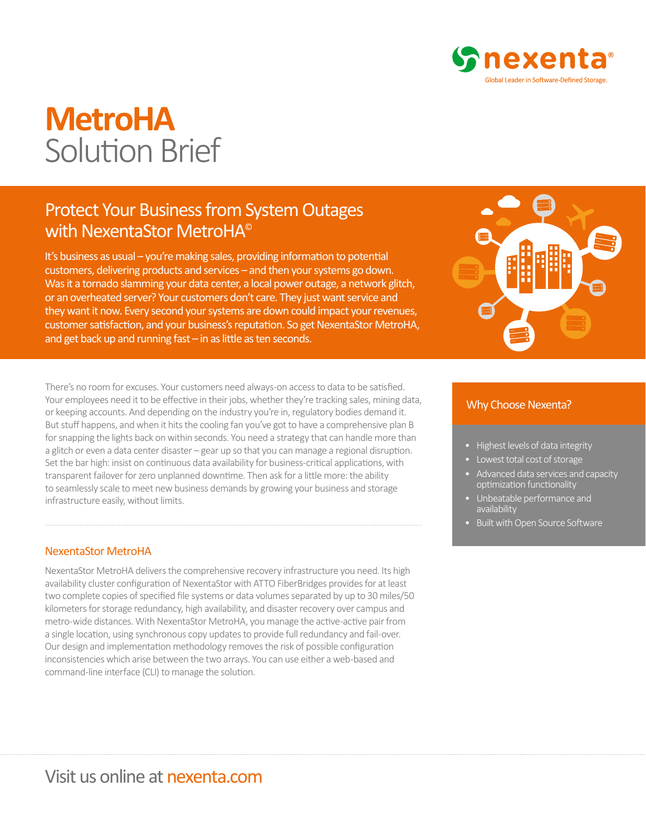

# **MetroHA** Solution Brief

## Protect Your Business from System Outages with NexentaStor MetroHA<sup>®</sup>

It's business as usual – you're making sales, providing information to potential customers, delivering products and services – and then your systems go down. Was it a tornado slamming your data center, a local power outage, a network glitch, or an overheated server? Your customers don't care. They just want service and they want it now. Every second your systems are down could impact your revenues, customer satisfaction, and your business's reputation. So get NexentaStor MetroHA, and get back up and running fast – in as little as ten seconds.

There's no room for excuses. Your customers need always-on access to data to be satisfied. Your employees need it to be effective in their jobs, whether they're tracking sales, mining data, or keeping accounts. And depending on the industry you're in, regulatory bodies demand it. But stuff happens, and when it hits the cooling fan you've got to have a comprehensive plan B for snapping the lights back on within seconds. You need a strategy that can handle more than a glitch or even a data center disaster – gear up so that you can manage a regional disruption. Set the bar high: insist on continuous data availability for business-critical applications, with transparent failover for zero unplanned downtime. Then ask for a little more: the ability to seamlessly scale to meet new business demands by growing your business and storage infrastructure easily, without limits.

### NexentaStor MetroHA

NexentaStor MetroHA delivers the comprehensive recovery infrastructure you need. Its high availability cluster configuration of NexentaStor with ATTO FiberBridges provides for at least two complete copies of specified file systems or data volumes separated by up to 30 miles/50 kilometers for storage redundancy, high availability, and disaster recovery over campus and metro-wide distances. With NexentaStor MetroHA, you manage the active-active pair from a single location, using synchronous copy updates to provide full redundancy and fail-over. Our design and implementation methodology removes the risk of possible configuration inconsistencies which arise between the two arrays. You can use either a web-based and command-line interface (CLI) to manage the solution.



#### Why Choose Nexenta?

- Highest levels of data integrity
- Lowest total cost of storage
- Advanced data services and capacity optimization functionality
- Unbeatable performance and availability
- Built with Open Source Software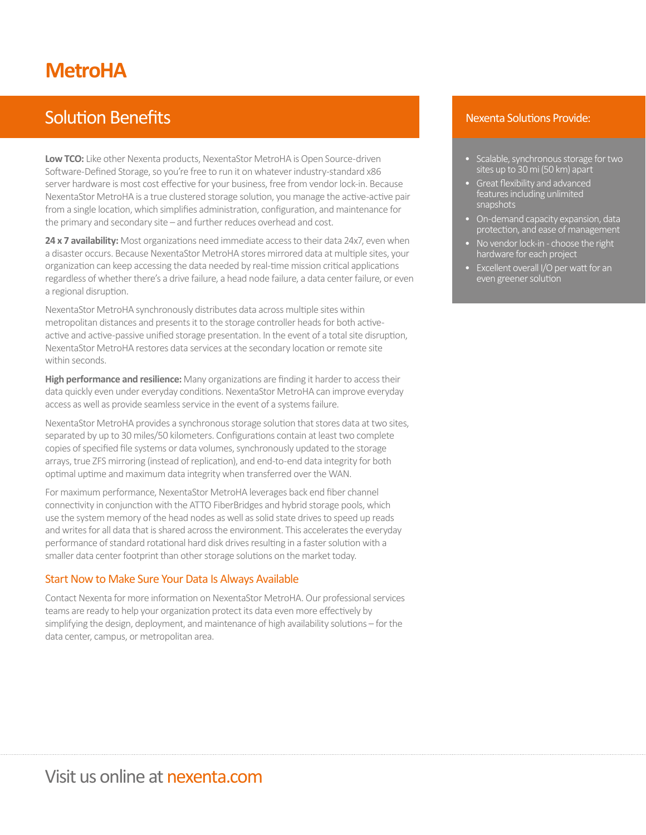# **MetroHA**

# Solution Benefits

**Low TCO:** Like other Nexenta products, NexentaStor MetroHA is Open Source-driven Software-Defined Storage, so you're free to run it on whatever industry-standard x86 server hardware is most cost effective for your business, free from vendor lock-in. Because NexentaStor MetroHA is a true clustered storage solution, you manage the active-active pair from a single location, which simplifies administration, configuration, and maintenance for the primary and secondary site – and further reduces overhead and cost.

**24 x 7 availability:** Most organizations need immediate access to their data 24x7, even when a disaster occurs. Because NexentaStor MetroHA stores mirrored data at multiple sites, your organization can keep accessing the data needed by real-time mission critical applications regardless of whether there's a drive failure, a head node failure, a data center failure, or even a regional disruption.

NexentaStor MetroHA synchronously distributes data across multiple sites within metropolitan distances and presents it to the storage controller heads for both activeactive and active-passive unified storage presentation. In the event of a total site disruption, NexentaStor MetroHA restores data services at the secondary location or remote site within seconds.

**High performance and resilience:** Many organizations are finding it harder to access their data quickly even under everyday conditions. NexentaStor MetroHA can improve everyday access as well as provide seamless service in the event of a systems failure.

NexentaStor MetroHA provides a synchronous storage solution that stores data at two sites, separated by up to 30 miles/50 kilometers. Configurations contain at least two complete copies of specified file systems or data volumes, synchronously updated to the storage arrays, true ZFS mirroring (instead of replication), and end-to-end data integrity for both optimal uptime and maximum data integrity when transferred over the WAN.

For maximum performance, NexentaStor MetroHA leverages back end fiber channel connectivity in conjunction with the ATTO FiberBridges and hybrid storage pools, which use the system memory of the head nodes as well as solid state drives to speed up reads and writes for all data that is shared across the environment. This accelerates the everyday performance of standard rotational hard disk drives resulting in a faster solution with a smaller data center footprint than other storage solutions on the market today.

### Start Now to Make Sure Your Data Is Always Available

Contact Nexenta for more information on NexentaStor MetroHA. Our professional services teams are ready to help your organization protect its data even more effectively by simplifying the design, deployment, and maintenance of high availability solutions – for the data center, campus, or metropolitan area.

### Nexenta Solutions Provide:

- Scalable, synchronous storage for two sites up to 30 mi (50 km) apart
- Great flexibility and advanced features including unlimited snapshots
- On-demand capacity expansion, data protection, and ease of management
- No vendor lock-in choose the right hardware for each project
- Excellent overall I/O per watt for an even greener solution